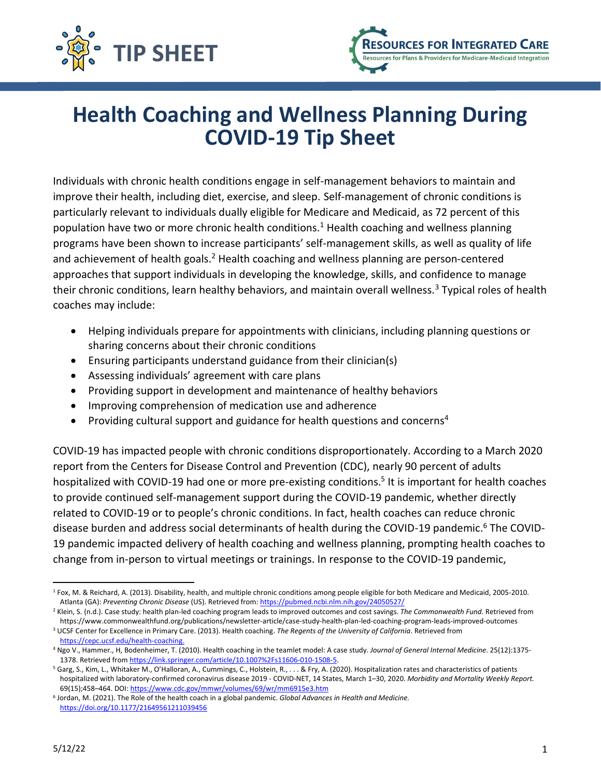



# **Health Coaching and Wellness Planning During COVID-19 Tip Sheet**

Individuals with chronic health conditions engage in self-management behaviors to maintain and improve their health, including diet, exercise, and sleep. Self-management of chronic conditions is particularly relevant to individuals dually eligible for Medicare and Medicaid, as 72 percent of this population have two or more chronic health conditions.<sup>[1](#page-0-0)</sup> Health coaching and wellness planning programs have been shown to increase participants' self-management skills, as well as quality of life and achievement of health goals.<sup>[2](#page-0-1)</sup> Health coaching and wellness planning are person-centered approaches that support individuals in developing the knowledge, skills, and confidence to manage their chronic conditions, learn healthy behaviors, and maintain overall wellness.<sup>[3](#page-0-2)</sup> Typical roles of health coaches may include:

- · Helping individuals prepare for appointments with clinicians, including planning questions or sharing concerns about their chronic conditions
- · Ensuring participants understand guidance from their clinician(s)
- · Assessing individuals' agreement with care plans
- · Providing support in development and maintenance of healthy behaviors
- · Improving comprehension of medication use and adherence
- Providing cultural support and guidance for health questions and concerns<sup>[4](#page-0-3)</sup>

COVID-19 has impacted people with chronic conditions disproportionately. According to a March 2020 report from the Centers for Disease Control and Prevention (CDC), nearly 90 percent of adults hospitalized with COVID-19 had one or more pre-existing conditions.<sup>[5](#page-0-4)</sup> It is important for health coaches to provide continued self-management support during the COVID-19 pandemic, whether directly related to COVID-19 or to people's chronic conditions. In fact, health coaches can reduce chronic disease burden and address social determinants of health during the COVID-19 pandemic.[6](#page-0-5) The COVID-19 pandemic impacted delivery of health coaching and wellness planning, prompting health coaches to change from in-person to virtual meetings or trainings. In response to the COVID-19 pandemic,

<span id="page-0-0"></span><sup>1</sup> Fox, M. & Reichard, A. (2013). Disability, health, and multiple chronic conditions among people eligible for both Medicare and Medicaid, 2005-2010. Atlanta (GA): *Preventing Chronic Disease* (US). Retrieved from:<https://pubmed.ncbi.nlm.nih.gov/24050527/>

<span id="page-0-1"></span><sup>2</sup> Klein, S. (n.d.). Case study: health plan-led coaching program leads to improved outcomes and cost savings. *The Commonwealth Fund.* Retrieved from https://www.commonwealthfund.org/publications/newsletter-article/case-study-health-plan-led-coaching-program-leads-improved-outcomes <sup>3</sup> UCSF Center for Excellence in Primary Care. (2013). Health coaching. *The Regents of the University of California*. Retrieved from

<span id="page-0-3"></span><span id="page-0-2"></span>[https://cepc.ucsf.edu/health-coaching.](https://cepc.ucsf.edu/health-coaching) <sup>4</sup> Ngo V., Hammer., H, Bodenheimer, T. (2010). Health coaching in the teamlet model: A case study. *Journal of General Internal Medicine*. 25(12):1375- 1378. Retrieved from<https://link.springer.com/article/10.1007%2Fs11606-010-1508-5>.

<span id="page-0-4"></span><sup>5</sup> Garg, S., Kim, L., Whitaker M., O'Halloran, A., Cummings, C., Holstein, R., . . . & Fry, A. (2020). Hospitalization rates and characteristics of patients hospitalized with laboratory-confirmed coronavirus disease 2019 - COVID-NET, 14 States, March 1–30, 2020. *Morbidity and Mortality Weekly Report.* 69(15);458–464. DOI: <https://www.cdc.gov/mmwr/volumes/69/wr/mm6915e3.htm>

<span id="page-0-5"></span><sup>6</sup> Jordan, M. (2021). The Role of the health coach in a global pandemic. *Global Advances in Health and Medicine.* <https://doi.org/10.1177/21649561211039456>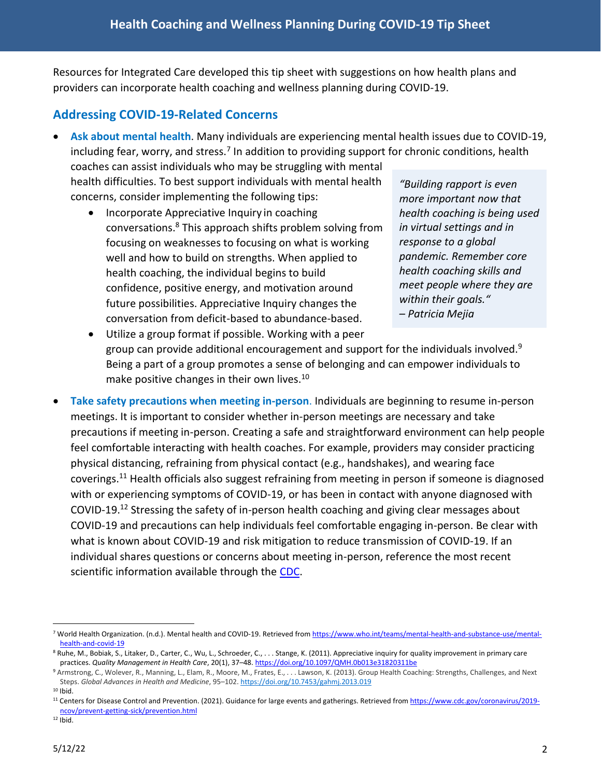Resources for Integrated Care developed this tip sheet with suggestions on how health plans and providers can incorporate health coaching and wellness planning during COVID-19.

# **Addressing COVID-19-Related Concerns**

· **Ask about mental health**. Many individuals are experiencing mental health issues due to COVID-19, including fear, worry, and stress.<sup>[7](#page-1-0)</sup> In addition to providing support for chronic conditions, health

coaches can assist individuals who may be struggling with mental health difficulties. To best support individuals with mental health concerns, consider implementing the following tips:

· Incorporate Appreciative Inquiry in coaching conversations.[8](#page-1-1) This approach shifts problem solving from focusing on weaknesses to focusing on what is working well and how to build on strengths. When applied to health coaching, the individual begins to build confidence, positive energy, and motivation around future possibilities. Appreciative Inquiry changes the conversation from deficit-based to abundance-based.

*"Building rapport is even more important now that health coaching is being used in virtual settings and in response to a global pandemic. Remember core health coaching skills and meet people where they are within their goals." – Patricia Mejia*

- · Utilize a group format if possible. Working with a peer group can provide additional encouragement and support for the individuals involved.<sup>[9](#page-1-2)</sup> Being a part of a group promotes a sense of belonging and can empower individuals to make positive changes in their own lives.<sup>[10](#page-1-3)</sup>
- · **Take safety precautions when meeting in-person**. Individuals are beginning to resume in-person meetings. It is important to consider whether in-person meetings are necessary and take precautions if meeting in-person. Creating a safe and straightforward environment can help people feel comfortable interacting with health coaches. For example, providers may consider practicing physical distancing, refraining from physical contact (e.g., handshakes), and wearing face coverings.[11](#page-1-4) Health officials also suggest refraining from meeting in person if someone is diagnosed with or experiencing symptoms of COVID-19, or has been in contact with anyone diagnosed with COVID-19.[12](#page-1-5) Stressing the safety of in-person health coaching and giving clear messages about COVID-19 and precautions can help individuals feel comfortable engaging in-person. Be clear with what is known about COVID-19 and risk mitigation to reduce transmission of COVID-19. If an individual shares questions or concerns about meeting in-person, reference the most recent scientific information available through the [CDC](https://www.cdc.gov/).

<span id="page-1-0"></span><sup>7</sup> World Health Organization. (n.d.). Mental health and COVID-19. Retrieved from [https://www.who.int/teams/mental-health-and-substance-use/mental](https://www.who.int/teams/mental-health-and-substance-use/mental-health-and-covid-19)[health-and-covid-19](https://www.who.int/teams/mental-health-and-substance-use/mental-health-and-covid-19)

<span id="page-1-1"></span><sup>8</sup> Ruhe, M., Bobiak, S., Litaker, D., Carter, C., Wu, L., Schroeder, C., . . . Stange, K. (2011). Appreciative inquiry for quality improvement in primary care practices. *Quality Management in Health Care*, 20(1), 37–48.<https://doi.org/10.1097/QMH.0b013e31820311be>

<span id="page-1-2"></span><sup>9</sup> Armstrong, C., Wolever, R., Manning, L., Elam, R., Moore, M., Frates, E., . . . Lawson, K. (2013). Group Health Coaching: Strengths, Challenges, and Next Steps. *Global Advances in Health and Medicine*, 95–102. <https://doi.org/10.7453/gahmj.2013.019>

<span id="page-1-3"></span> $10$  Ibid.

<span id="page-1-4"></span><sup>&</sup>lt;sup>11</sup> Centers for Disease Control and Prevention. (2021). Guidance for large events and gatherings. Retrieved from [https://www.cdc.gov/coronavirus/2019](https://www.cdc.gov/coronavirus/2019-ncov/prevent-getting-sick/prevention.html) [ncov/prevent-getting-sick/prevention.html](https://www.cdc.gov/coronavirus/2019-ncov/prevent-getting-sick/prevention.html)

<span id="page-1-5"></span> $12$  Ibid.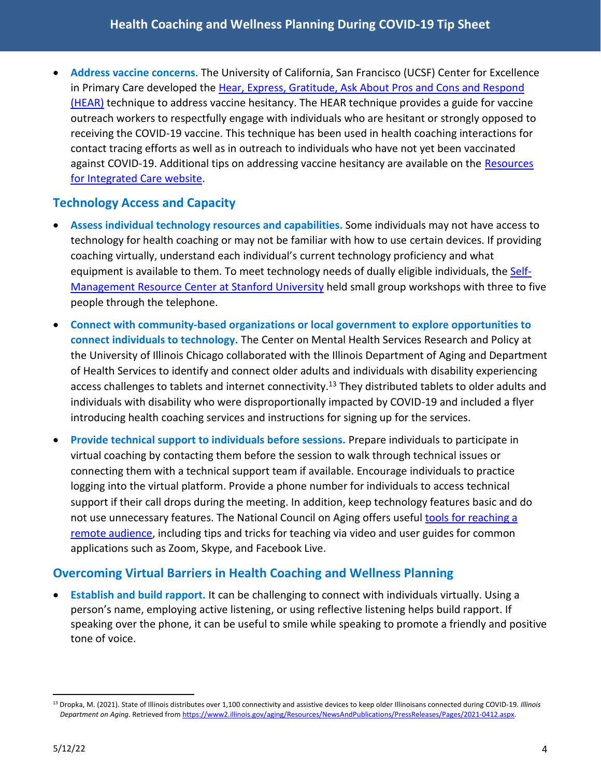· **Address vaccine concerns**. The University of California, San Francisco (UCSF) Center for Excellence in Primary Care developed the [Hear, Express, Gratitude, Ask About Pros and Cons and Respond](https://cepc.ucsf.edu/sites/cepc.ucsf.edu/files/HEAR Technique Cheat Sheet final_c.pdf)  [\(HEAR\)](https://cepc.ucsf.edu/sites/cepc.ucsf.edu/files/HEAR Technique Cheat Sheet final_c.pdf) technique to address vaccine hesitancy. The HEAR technique provides a guide for vaccine outreach workers to respectfully engage with individuals who are hesitant or strongly opposed to receiving the COVID-19 vaccine. This technique has been used in health coaching interactions for contact tracing efforts as well as in outreach to individuals who have not yet been vaccinated against COVID-19. Additional tips on addressing vaccine hesitancy are available on the Resources [for Integrated Care website](https://www.resourcesforintegratedcare.com/COVID-19_Vaccination_Blog/Post4/Combatting_COVID-19_Vaccine_Misinformation).

# **Technology Access and Capacity**

- · **Assess individual technology resources and capabilities.** Some individuals may not have access to technology for health coaching or may not be familiar with how to use certain devices. If providing coaching virtually, understand each individual's current technology proficiency and what equipment is available to them. To meet technology needs of dually eligible individuals, the [Self-](https://www.selfmanagementresource.com/)[Management Resource Center at Stanford University](https://www.selfmanagementresource.com/) held small group workshops with three to five people through the telephone.
- · **Connect with community-based organizations or local government to explore opportunities to connect individuals to technology.** The Center on Mental Health Services Research and Policy at the University of Illinois Chicago collaborated with the Illinois Department of Aging and Department of Health Services to identify and connect older adults and individuals with disability experiencing access challenges to tablets and internet connectivity.<sup>[13](#page-2-0)</sup> They distributed tablets to older adults and individuals with disability who were disproportionally impacted by COVID-19 and included a flyer introducing health coaching services and instructions for signing up for the services.
- · **Provide technical support to individuals before sessions.** Prepare individuals to participate in virtual coaching by contacting them before the session to walk through technical issues or connecting them with a technical support team if available. Encourage individuals to practice logging into the virtual platform. Provide a phone number for individuals to access technical support if their call drops during the meeting. In addition, keep technology features basic and do not use unnecessary features. The National Council on Aging offers useful [tools for reaching a](https://www.ncoa.org/article/tools-for-reaching-a-remote-audience)  [remote audience](https://www.ncoa.org/article/tools-for-reaching-a-remote-audience), including tips and tricks for teaching via video and user guides for common applications such as Zoom, Skype, and Facebook Live.

## **Overcoming Virtual Barriers in Health Coaching and Wellness Planning**

· **Establish and build rapport.** It can be challenging to connect with individuals virtually. Using a person's name, employing active listening, or using reflective listening helps build rapport. If speaking over the phone, it can be useful to smile while speaking to promote a friendly and positive tone of voice.

<span id="page-2-0"></span><sup>13</sup> Dropka, M. (2021). State of Illinois distributes over 1,100 connectivity and assistive devices to keep older Illinoisans connected during COVID-19. *Illinois Department on Aging*. Retrieved from<https://www2.illinois.gov/aging/Resources/NewsAndPublications/PressReleases/Pages/2021-0412.aspx>.